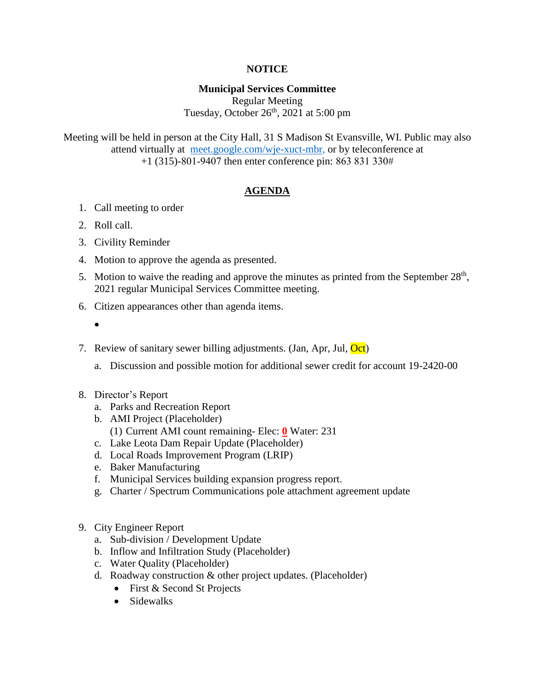# **NOTICE**

# **Municipal Services Committee**

Regular Meeting Tuesday, October  $26<sup>th</sup>$ , 2021 at 5:00 pm

Meeting will be held in person at the City Hall, 31 S Madison St Evansville, WI. Public may also attend virtually at [meet.google.com/wje-xuct-mbr,](meet.google.com/wje-xuct-mbr) or by teleconference at +1 (315)-801-9407 then enter conference pin: 863 831 330#

### **AGENDA**

- 1. Call meeting to order
- 2. Roll call.
- 3. Civility Reminder
- 4. Motion to approve the agenda as presented.
- 5. Motion to waive the reading and approve the minutes as printed from the September  $28<sup>th</sup>$ , 2021 regular Municipal Services Committee meeting.
- 6. Citizen appearances other than agenda items.
	- $\bullet$
- 7. Review of sanitary sewer billing adjustments. (Jan, Apr, Jul, Oct)
	- a. Discussion and possible motion for additional sewer credit for account 19-2420-00
- 8. Director's Report
	- a. Parks and Recreation Report
	- b. AMI Project (Placeholder)
		- (1) Current AMI count remaining- Elec: **0** Water: 231
	- c. Lake Leota Dam Repair Update (Placeholder)
	- d. Local Roads Improvement Program (LRIP)
	- e. Baker Manufacturing
	- f. Municipal Services building expansion progress report.
	- g. Charter / Spectrum Communications pole attachment agreement update
- 9. City Engineer Report
	- a. Sub-division / Development Update
	- b. Inflow and Infiltration Study (Placeholder)
	- c. Water Quality (Placeholder)
	- d. Roadway construction & other project updates. (Placeholder)
		- First & Second St Projects
		- Sidewalks